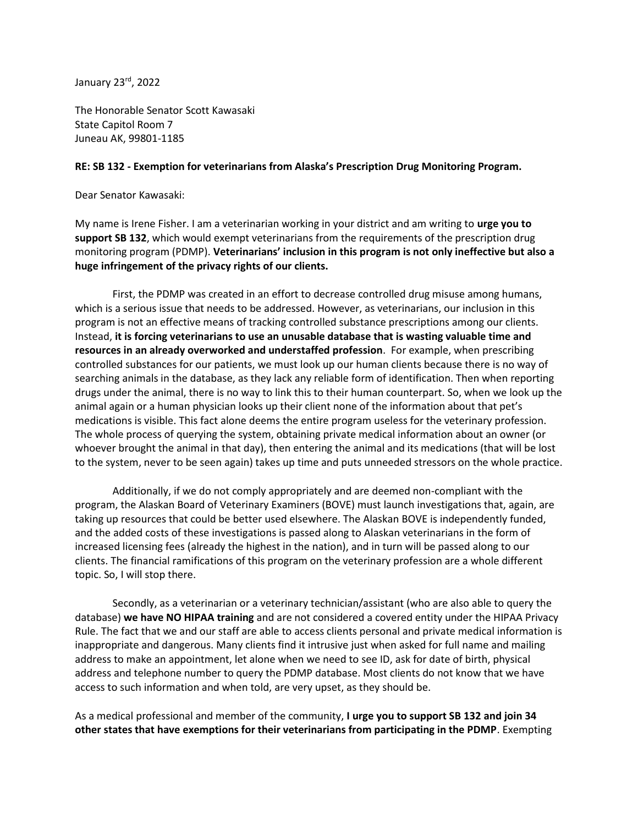January 23rd, 2022

The Honorable Senator Scott Kawasaki State Capitol Room 7 Juneau AK, 99801-1185

## **RE: SB 132 - Exemption for veterinarians from Alaska's Prescription Drug Monitoring Program.**

Dear Senator Kawasaki:

My name is Irene Fisher. I am a veterinarian working in your district and am writing to **urge you to support SB 132**, which would exempt veterinarians from the requirements of the prescription drug monitoring program (PDMP). **Veterinarians' inclusion in this program is not only ineffective but also a huge infringement of the privacy rights of our clients.**

First, the PDMP was created in an effort to decrease controlled drug misuse among humans, which is a serious issue that needs to be addressed. However, as veterinarians, our inclusion in this program is not an effective means of tracking controlled substance prescriptions among our clients. Instead, **it is forcing veterinarians to use an unusable database that is wasting valuable time and resources in an already overworked and understaffed profession**. For example, when prescribing controlled substances for our patients, we must look up our human clients because there is no way of searching animals in the database, as they lack any reliable form of identification. Then when reporting drugs under the animal, there is no way to link this to their human counterpart. So, when we look up the animal again or a human physician looks up their client none of the information about that pet's medications is visible. This fact alone deems the entire program useless for the veterinary profession. The whole process of querying the system, obtaining private medical information about an owner (or whoever brought the animal in that day), then entering the animal and its medications (that will be lost to the system, never to be seen again) takes up time and puts unneeded stressors on the whole practice.

Additionally, if we do not comply appropriately and are deemed non-compliant with the program, the Alaskan Board of Veterinary Examiners (BOVE) must launch investigations that, again, are taking up resources that could be better used elsewhere. The Alaskan BOVE is independently funded, and the added costs of these investigations is passed along to Alaskan veterinarians in the form of increased licensing fees (already the highest in the nation), and in turn will be passed along to our clients. The financial ramifications of this program on the veterinary profession are a whole different topic. So, I will stop there.

Secondly, as a veterinarian or a veterinary technician/assistant (who are also able to query the database) **we have NO HIPAA training** and are not considered a covered entity under the HIPAA Privacy Rule. The fact that we and our staff are able to access clients personal and private medical information is inappropriate and dangerous. Many clients find it intrusive just when asked for full name and mailing address to make an appointment, let alone when we need to see ID, ask for date of birth, physical address and telephone number to query the PDMP database. Most clients do not know that we have access to such information and when told, are very upset, as they should be.

As a medical professional and member of the community, **I urge you to support SB 132 and join 34 other states that have exemptions for their veterinarians from participating in the PDMP**. Exempting